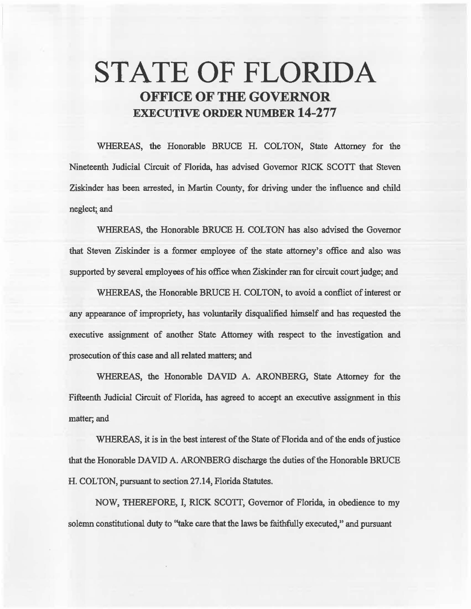# STATE OF FLORIDA OFFICE OF THE GOVERNOR EXECUTIVE ORDER NUMBER 14-277

WHEREAS, the Honorable BRUCE H. COLTON, State Attorney for 1he Nineteenfu Judicial Circuit of Florida, has advised Governor RICK SCOTT that Steven Ziskinder bas been arrested, in Martin County, for driving under the inflnence and child neglect;\_ and

WHEREAS, the Honorable BRUCE H. COLTON has also advised the Governor that Steven Ziskinder is a former employee of 1he state attorney's office and also was supported by several employees of his office when Ziskinder ran for circuit court judge; and

WHEREAS, the Honorable BRUCE H. COLTON, to avoid a conflict of interest or any appearance of impropriety, has voluntarily disqualified himself and has requested the executive assignment of another State Attomey with respect to the investigation and prosecution of this case and all related matters; and

WHEREAS, the Honorable DAVID A. ARONBERG, State Attorney for the Fifteenth Judicial Circuit of Florida, has agreed to accept an executive assignment in this matter; and

WHEREAS, it is in the best interest of the State of Florida and of the ends of justice that the Honorable DAVID A. ARONBERG discharge the duties of the Honorable BRUCE H. COLTON, pursuant to section 27.14, Florida Statutes.

NOW, THEREFORE, I, RICK SCOTT, Governor of Florida, in obedience to my solemn constitutional duty to "take care that the laws be faithfully executed," and pursuant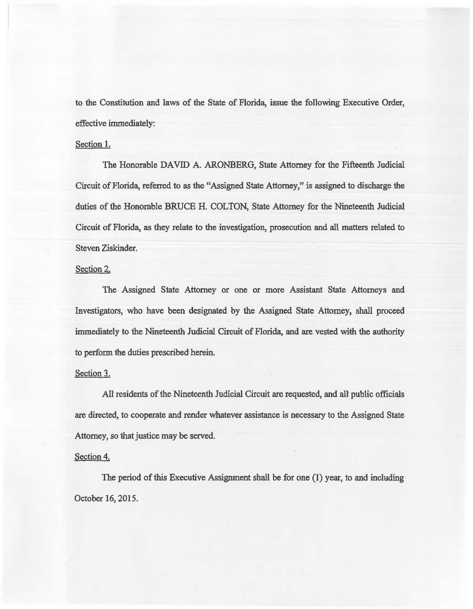to the Constitution and laws of the State of Florida, issue the following Executive Order, effective immediately:

### Section 1.

The Honorable DAVID A. ARONBERG, State Attorney for the Fifteenth Judicial Circuit of Florida, referred to *as* the "Assigned State Attorney," is assigned to discharge the duties of the Honorable BRUCE H. COLTON, State Attorney for the Nineteenth Judicial Circuit of Florida, *as* they relate to the investigation, prosecution and all matters related to Steven Ziskinder.

# Section 2.

The Assigned State Attorney or one or more Assistant State Attorneys and Investigators, who have been designated by the Assigned State Attorney, shall proceed immediately to the Nineteenth Judicial Circuit of Florida, and are vested with the authority to perform the duties prescribed herein.

#### Section 3.

All residents of the Nineteenth Judicial Circuit are requested, and all public officials are directed, to cooperate and render whatever assistance is necessary to the Assigned State Attorney, so that justice may be served.

## Section 4.

The period of this Executive Assignment shall be for one  $(1)$  year, to and including October 16, 2015.